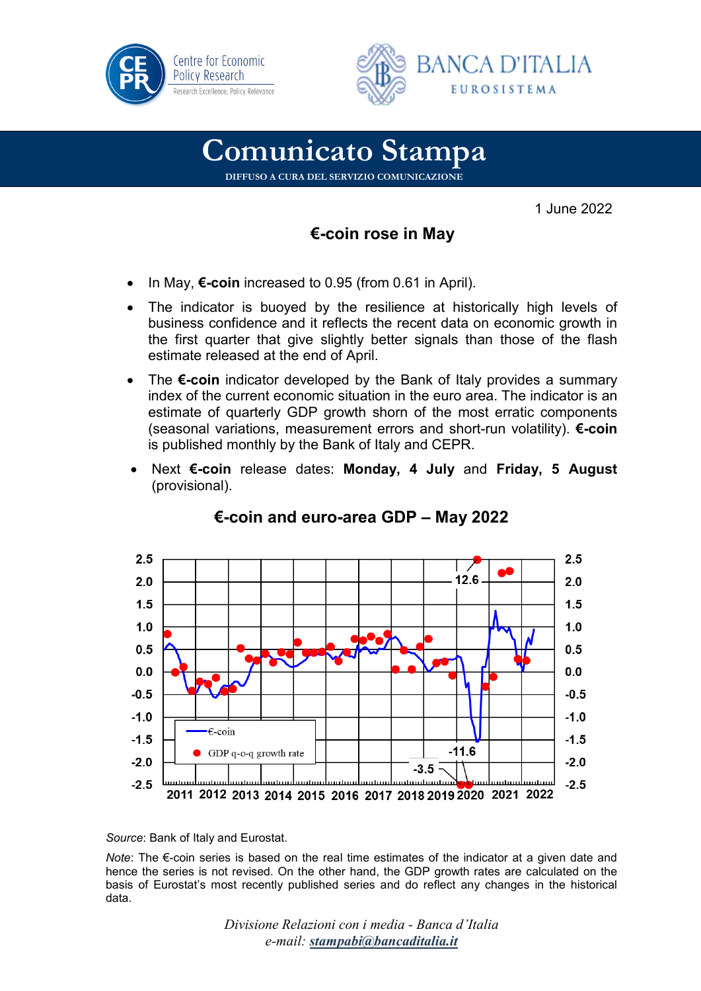



## **Comunicato Stampa**

**DIFFUSO A CURA DEL SERVIZIO COMUNICAZIONE**

1 June 2022

## **€-coin rose in May**

- In May, **€-coin** increased to 0.95 (from 0.61 in April).
- The indicator is buoved by the resilience at historically high levels of business confidence and it reflects the recent data on economic growth in the first quarter that give slightly better signals than those of the flash estimate released at the end of April.
- The **€-coin** indicator developed by the Bank of Italy provides a summary index of the current economic situation in the euro area. The indicator is an estimate of quarterly GDP growth shorn of the most erratic components (seasonal variations, measurement errors and short-run volatility). **€-coin** is published monthly by the Bank of Italy and CEPR.
- Next **€-coin** release dates: **Monday, 4 July** and **Friday, 5 August** (provisional).



## **€-coin and euro-area GDP – May 2022**

*Source*: Bank of Italy and Eurostat.

*Note*: The €-coin series is based on the real time estimates of the indicator at a given date and hence the series is not revised. On the other hand, the GDP growth rates are calculated on the basis of Eurostat's most recently published series and do reflect any changes in the historical data.

> *Divisione Relazioni con i media - Banca d'Italia e-mail: [stampabi@bancaditalia.it](mailto:stampabi@bancaditalia.it)*